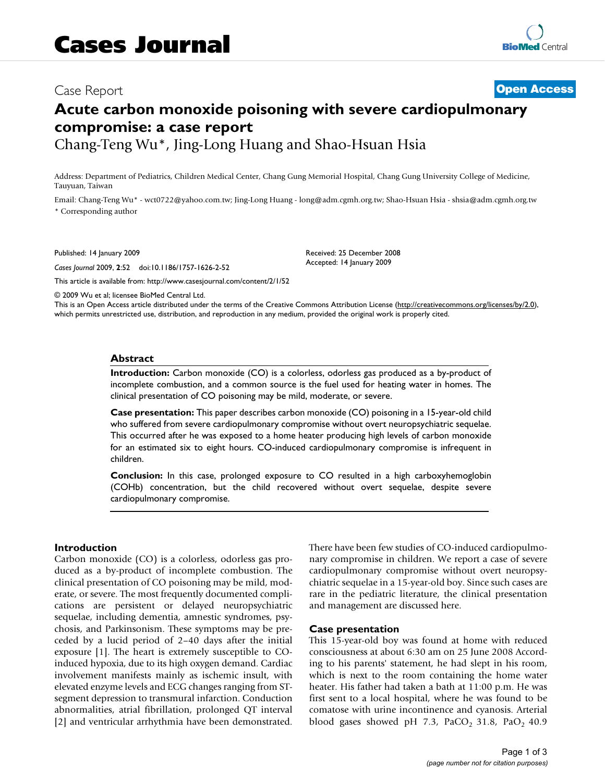# Case Report **[Open Access](http://www.biomedcentral.com/info/about/charter/)**

# **Acute carbon monoxide poisoning with severe cardiopulmonary compromise: a case report**

Chang-Teng Wu\*, Jing-Long Huang and Shao-Hsuan Hsia

Address: Department of Pediatrics, Children Medical Center, Chang Gung Memorial Hospital, Chang Gung University College of Medicine, Tauyuan, Taiwan

Email: Chang-Teng Wu\* - wct0722@yahoo.com.tw; Jing-Long Huang - long@adm.cgmh.org.tw; Shao-Hsuan Hsia - shsia@adm.cgmh.org.tw \* Corresponding author

Published: 14 January 2009

*Cases Journal* 2009, **2**:52 doi:10.1186/1757-1626-2-52

[This article is available from: http://www.casesjournal.com/content/2/1/52](http://www.casesjournal.com/content/2/1/52)

Received: 25 December 2008 Accepted: 14 January 2009

© 2009 Wu et al; licensee BioMed Central Ltd.

This is an Open Access article distributed under the terms of the Creative Commons Attribution License [\(http://creativecommons.org/licenses/by/2.0\)](http://creativecommons.org/licenses/by/2.0), which permits unrestricted use, distribution, and reproduction in any medium, provided the original work is properly cited.

# **Abstract**

**Introduction:** Carbon monoxide (CO) is a colorless, odorless gas produced as a by-product of incomplete combustion, and a common source is the fuel used for heating water in homes. The clinical presentation of CO poisoning may be mild, moderate, or severe.

**Case presentation:** This paper describes carbon monoxide (CO) poisoning in a 15-year-old child who suffered from severe cardiopulmonary compromise without overt neuropsychiatric sequelae. This occurred after he was exposed to a home heater producing high levels of carbon monoxide for an estimated six to eight hours. CO-induced cardiopulmonary compromise is infrequent in children.

**Conclusion:** In this case, prolonged exposure to CO resulted in a high carboxyhemoglobin (COHb) concentration, but the child recovered without overt sequelae, despite severe cardiopulmonary compromise.

# **Introduction**

Carbon monoxide (CO) is a colorless, odorless gas produced as a by-product of incomplete combustion. The clinical presentation of CO poisoning may be mild, moderate, or severe. The most frequently documented complications are persistent or delayed neuropsychiatric sequelae, including dementia, amnestic syndromes, psychosis, and Parkinsonism. These symptoms may be preceded by a lucid period of 2–40 days after the initial exposure [\[1](#page-2-0)]. The heart is extremely susceptible to COinduced hypoxia, due to its high oxygen demand. Cardiac involvement manifests mainly as ischemic insult, with elevated enzyme levels and ECG changes ranging from STsegment depression to transmural infarction. Conduction abnormalities, atrial fibrillation, prolonged QT interval [[2\]](#page-2-1) and ventricular arrhythmia have been demonstrated. There have been few studies of CO-induced cardiopulmonary compromise in children. We report a case of severe cardiopulmonary compromise without overt neuropsychiatric sequelae in a 15-year-old boy. Since such cases are rare in the pediatric literature, the clinical presentation and management are discussed here.

#### **Case presentation**

This 15-year-old boy was found at home with reduced consciousness at about 6:30 am on 25 June 2008 According to his parents' statement, he had slept in his room, which is next to the room containing the home water heater. His father had taken a bath at 11:00 p.m. He was first sent to a local hospital, where he was found to be comatose with urine incontinence and cyanosis. Arterial blood gases showed pH 7.3, PaCO<sub>2</sub> 31.8, PaO<sub>2</sub> 40.9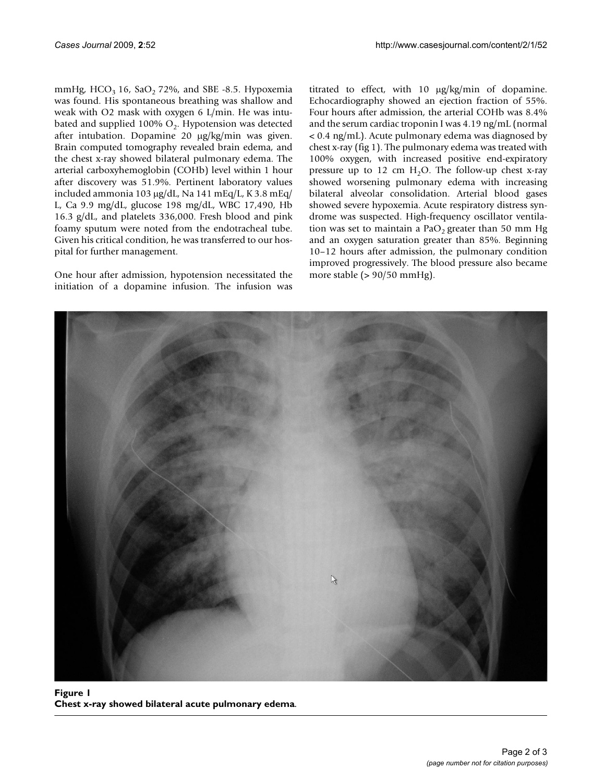mmHg,  $HCO<sub>3</sub> 16$ ,  $SaO<sub>2</sub> 72$ %, and SBE -8.5. Hypoxemia was found. His spontaneous breathing was shallow and weak with O2 mask with oxygen 6 L/min. He was intubated and supplied 100%  $O_2$ . Hypotension was detected after intubation. Dopamine 20 μg/kg/min was given. Brain computed tomography revealed brain edema, and the chest x-ray showed bilateral pulmonary edema. The arterial carboxyhemoglobin (COHb) level within 1 hour after discovery was 51.9%. Pertinent laboratory values included ammonia 103 μg/dL, Na 141 mEq/L, K 3.8 mEq/ L, Ca 9.9 mg/dL, glucose 198 mg/dL, WBC 17,490, Hb 16.3 g/dL, and platelets 336,000. Fresh blood and pink foamy sputum were noted from the endotracheal tube. Given his critical condition, he was transferred to our hospital for further management.

One hour after admission, hypotension necessitated the initiation of a dopamine infusion. The infusion was titrated to effect, with 10 μg/kg/min of dopamine. Echocardiography showed an ejection fraction of 55%. Four hours after admission, the arterial COHb was 8.4% and the serum cardiac troponin I was 4.19 ng/mL (normal < 0.4 ng/mL). Acute pulmonary edema was diagnosed by chest x-ray (fig [1](#page-1-0)). The pulmonary edema was treated with 100% oxygen, with increased positive end-expiratory pressure up to 12 cm  $H_2O$ . The follow-up chest x-ray showed worsening pulmonary edema with increasing bilateral alveolar consolidation. Arterial blood gases showed severe hypoxemia. Acute respiratory distress syndrome was suspected. High-frequency oscillator ventilation was set to maintain a PaO<sub>2</sub> greater than 50 mm Hg and an oxygen saturation greater than 85%. Beginning 10–12 hours after admission, the pulmonary condition improved progressively. The blood pressure also became more stable (> 90/50 mmHg).

<span id="page-1-0"></span>

Figure 1 **Chest x-ray showed bilateral acute pulmonary edema**.